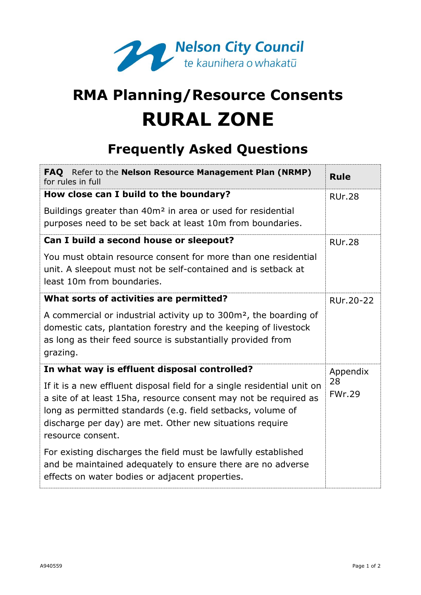

## **RMA Planning/Resource Consents RURAL ZONE**

## **Frequently Asked Questions**

| FAQ Refer to the Nelson Resource Management Plan (NRMP)<br>for rules in full                                                                                                                                                                                                                | <b>Rule</b>         |
|---------------------------------------------------------------------------------------------------------------------------------------------------------------------------------------------------------------------------------------------------------------------------------------------|---------------------|
| How close can I build to the boundary?                                                                                                                                                                                                                                                      | <b>RUr.28</b>       |
| Buildings greater than 40m <sup>2</sup> in area or used for residential<br>purposes need to be set back at least 10m from boundaries.                                                                                                                                                       |                     |
| Can I build a second house or sleepout?                                                                                                                                                                                                                                                     | <b>RUr.28</b>       |
| You must obtain resource consent for more than one residential<br>unit. A sleepout must not be self-contained and is setback at<br>least 10m from boundaries.                                                                                                                               |                     |
| What sorts of activities are permitted?                                                                                                                                                                                                                                                     | RUr.20-22           |
| A commercial or industrial activity up to 300m <sup>2</sup> , the boarding of<br>domestic cats, plantation forestry and the keeping of livestock<br>as long as their feed source is substantially provided from<br>grazing.                                                                 |                     |
| In what way is effluent disposal controlled?                                                                                                                                                                                                                                                | Appendix            |
| If it is a new effluent disposal field for a single residential unit on<br>a site of at least 15ha, resource consent may not be required as<br>long as permitted standards (e.g. field setbacks, volume of<br>discharge per day) are met. Other new situations require<br>resource consent. | 28<br><b>FWr.29</b> |
| For existing discharges the field must be lawfully established<br>and be maintained adequately to ensure there are no adverse<br>effects on water bodies or adjacent properties.                                                                                                            |                     |